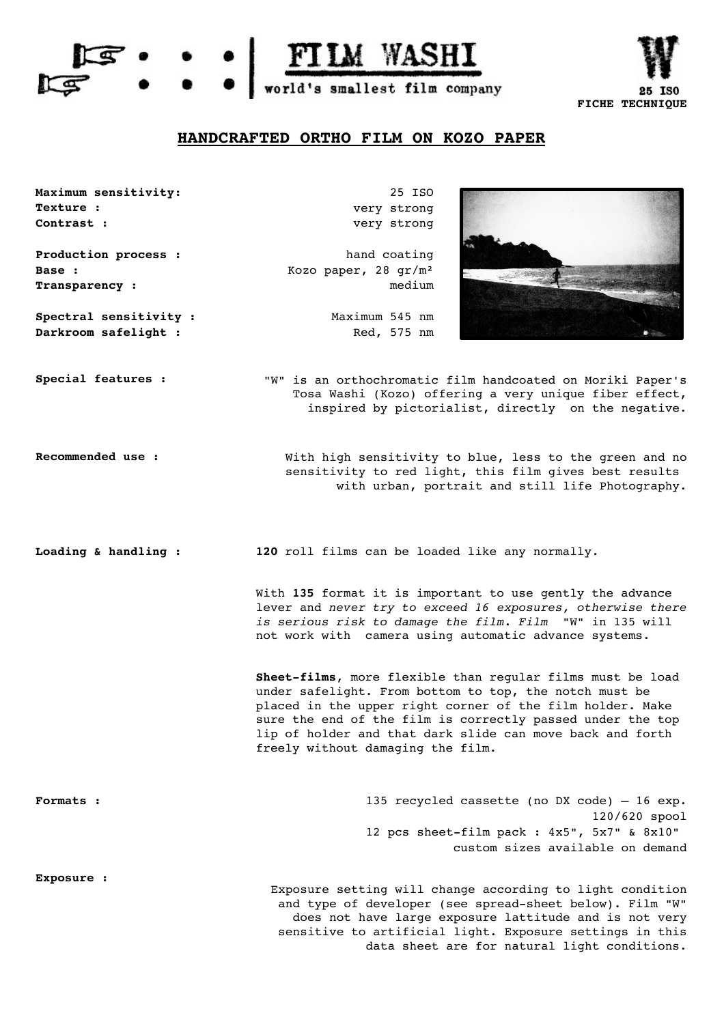



## **HANDCRAFTED ORTHO FILM ON KOZO PAPER**



**Maximum sensitivity:** 25 ISO very strong very strong

> hand coating Kozo paper, 28 gr/m² medium

Maximum 545 nm **Darkroom safelight :** Red, 575 nm

**Special features :** "W" is an orthochromatic film handcoated on Moriki Paper's Tosa Washi (Kozo) offering a very unique fiber effect, inspired by pictorialist, directly on the negative.

**Exposure :**

**Production process :**

**Spectral sensitivity :**

**Transparency :**

**Texture : Contrast :**

**Base :**

Recommended use : With high sensitivity to blue, less to the green and no sensitivity to red light, this film gives best results with urban, portrait and still life Photography.

**Loading & handling : 120** roll films can be loaded like any normally.

With **135** format it is important to use gently the advance lever and *never try to exceed 16 exposures, otherwise there is serious risk to damage the film. Film* "W" in 135 will not work with camera using automatic advance systems.

Sheet-films, more flexible than regular films must be load under safelight. From bottom to top, the notch must be placed in the upper right corner of the film holder. Make sure the end of the film is correctly passed under the top lip of holder and that dark slide can move back and forth freely without damaging the film.

| <b>Formats :</b> | 135 recycled cassette (no DX code) $-16$ exp.      |
|------------------|----------------------------------------------------|
|                  | $120/620$ spool                                    |
|                  | 12 pcs sheet-film pack : $4x5"$ , $5x7"$ & $8x10"$ |
|                  | custom sizes available on demand                   |
|                  |                                                    |

Exposure setting will change according to light condition and type of developer (see spread-sheet below). Film "W" does not have large exposure lattitude and is not very sensitive to artificial light. Exposure settings in this data sheet are for natural light conditions.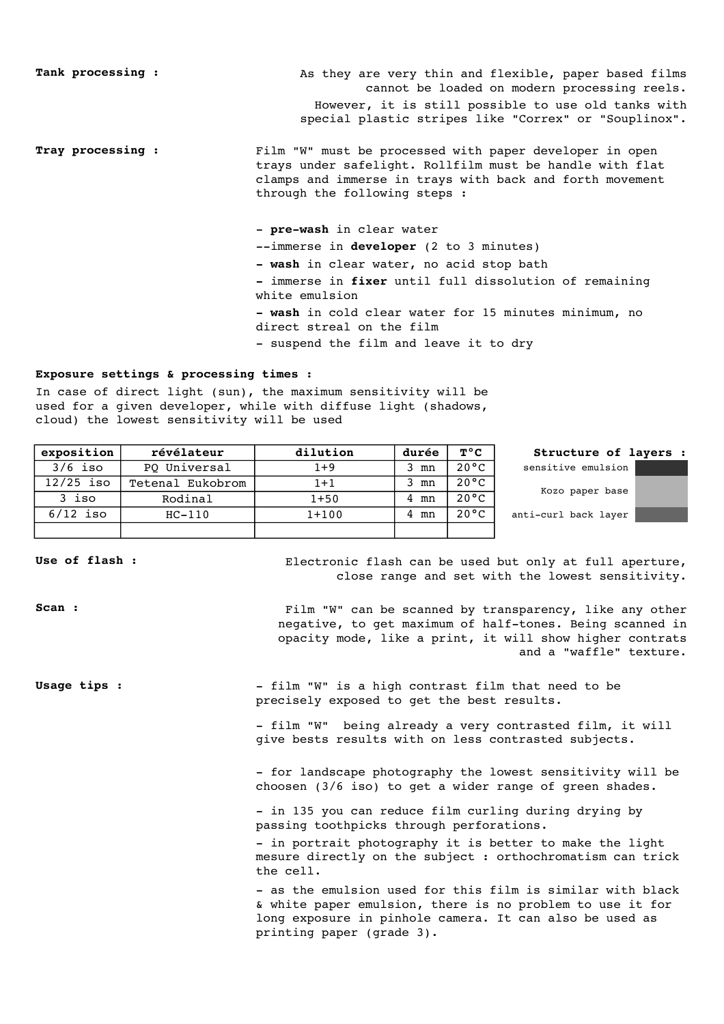Tank processing :  $\qquad \qquad$  As they are very thin and flexible, paper based films cannot be loaded on modern processing reels. However, it is still possible to use old tanks with special plastic stripes like "Correx" or "Souplinox".

**Tray processing :** Film "W" must be processed with paper developer in open trays under safelight. Rollfilm must be handle with flat clamps and immerse in trays with back and forth movement through the following steps :

- pre-wash in clear water

--immerse in **developer** (2 to 3 minutes)

**wash** in clear water, no acid stop bath

 immerse in **fixer** until full dissolution of remaining white emulsion

 **wash** in cold clear water for 15 minutes minimum, no direct streal on the film

- suspend the film and leave it to dry

## **Exposure settings & processing times :**

In case of direct light (sun), the maximum sensitivity will be used for a given developer, while with diffuse light (shadows, cloud) the lowest sensitivity will be used

| exposition  | révélateur       | dilution | durée | $T^{\circ}C$   | Structure of layers : |
|-------------|------------------|----------|-------|----------------|-----------------------|
| $3/6$ iso   | PQ Universal     | $1 + 9$  | 3 mn  | $20^{\circ}$ C | sensitive emulsion    |
| $12/25$ iso | Tetenal Eukobrom | $1 + 1$  | mn    | $20^{\circ}$ C |                       |
| 3 iso       | Rodinal          | $1 + 50$ | 4 mn  | $20^{\circ}$ C | Kozo paper base       |
| $6/12$ iso  | $HC-110$         | $1+100$  | 4 mn  | $20^{\circ}$ C | anti-curl back layer  |
|             |                  |          |       |                |                       |

Use of flash : Electronic flash can be used but only at full aperture, close range and set with the lowest sensitivity.

**Scan :** Film "W" can be scanned by transparency, like any other negative, to get maximum of half-tones. Being scanned in opacity mode, like a print, it will show higher contrats and a "waffle" texture.

**Usage tips :** film "W" is a high contrast film that need to be precisely exposed to get the best results.

> - film "W" being already a very contrasted film, it will give bests results with on less contrasted subjects.

- for landscape photography the lowest sensitivity will be choosen (3/6 iso) to get a wider range of green shades.

- in 135 you can reduce film curling during drying by passing toothpicks through perforations.

- in portrait photography it is better to make the light mesure directly on the subject : orthochromatism can trick the cell.

- as the emulsion used for this film is similar with black & white paper emulsion, there is no problem to use it for long exposure in pinhole camera. It can also be used as printing paper (grade 3).